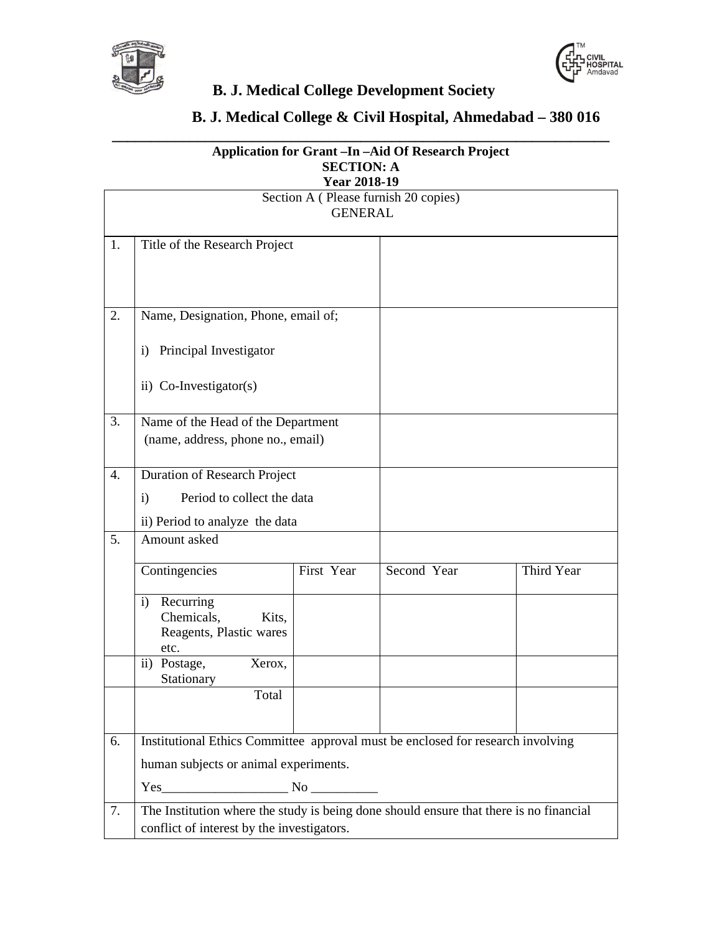



**\_\_\_\_\_\_\_\_\_\_\_\_\_\_\_\_\_\_\_\_\_\_\_\_\_\_\_\_\_\_\_\_\_\_\_\_\_\_\_\_\_\_\_\_\_\_\_\_\_\_\_\_\_\_\_\_\_\_\_\_\_\_\_\_**

## **B. J. Medical College & Civil Hospital, Ahmedabad – 380 016**

| <b>Application for Grant - In - Aid Of Research Project</b><br><b>SECTION: A</b> |                                                                                        |            |             |            |  |  |  |
|----------------------------------------------------------------------------------|----------------------------------------------------------------------------------------|------------|-------------|------------|--|--|--|
| <b>Year 2018-19</b>                                                              |                                                                                        |            |             |            |  |  |  |
| Section A (Please furnish 20 copies)<br><b>GENERAL</b>                           |                                                                                        |            |             |            |  |  |  |
|                                                                                  |                                                                                        |            |             |            |  |  |  |
| 1.                                                                               | Title of the Research Project                                                          |            |             |            |  |  |  |
|                                                                                  |                                                                                        |            |             |            |  |  |  |
|                                                                                  |                                                                                        |            |             |            |  |  |  |
| 2.                                                                               | Name, Designation, Phone, email of;                                                    |            |             |            |  |  |  |
|                                                                                  | Principal Investigator<br>$\mathbf{i}$                                                 |            |             |            |  |  |  |
|                                                                                  | ii) Co-Investigator(s)                                                                 |            |             |            |  |  |  |
| 3.                                                                               | Name of the Head of the Department                                                     |            |             |            |  |  |  |
|                                                                                  | (name, address, phone no., email)                                                      |            |             |            |  |  |  |
| 4.                                                                               | <b>Duration of Research Project</b>                                                    |            |             |            |  |  |  |
|                                                                                  | Period to collect the data<br>$\mathbf{i}$                                             |            |             |            |  |  |  |
|                                                                                  | ii) Period to analyze the data                                                         |            |             |            |  |  |  |
| 5.                                                                               | Amount asked                                                                           |            |             |            |  |  |  |
|                                                                                  | Contingencies                                                                          | First Year | Second Year | Third Year |  |  |  |
|                                                                                  | Recurring<br>$\mathbf{i}$                                                              |            |             |            |  |  |  |
|                                                                                  | Chemicals,<br>Kits,<br>Reagents, Plastic wares                                         |            |             |            |  |  |  |
|                                                                                  | etc.                                                                                   |            |             |            |  |  |  |
|                                                                                  | ii) Postage,<br>Xerox,<br>Stationary                                                   |            |             |            |  |  |  |
|                                                                                  | Total                                                                                  |            |             |            |  |  |  |
|                                                                                  |                                                                                        |            |             |            |  |  |  |
| 6.                                                                               | Institutional Ethics Committee approval must be enclosed for research involving        |            |             |            |  |  |  |
|                                                                                  | human subjects or animal experiments.                                                  |            |             |            |  |  |  |
|                                                                                  | $Yes$ No $\_\_\_\_\_\_\_\$                                                             |            |             |            |  |  |  |
| 7.                                                                               | The Institution where the study is being done should ensure that there is no financial |            |             |            |  |  |  |
|                                                                                  | conflict of interest by the investigators.                                             |            |             |            |  |  |  |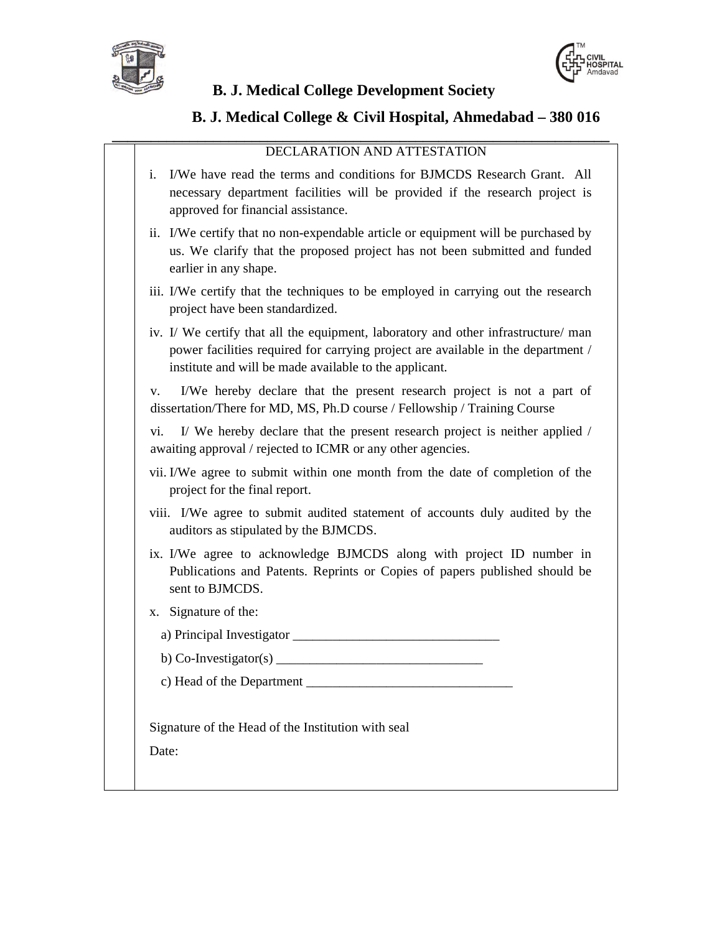



#### **B. J. Medical College & Civil Hospital, Ahmedabad – 380 016**

#### DECLARATION AND ATTESTATION

**\_\_\_\_\_\_\_\_\_\_\_\_\_\_\_\_\_\_\_\_\_\_\_\_\_\_\_\_\_\_\_\_\_\_\_\_\_\_\_\_\_\_\_\_\_\_\_\_\_\_\_\_\_\_\_\_\_\_\_\_\_\_\_\_**

- i. I/We have read the terms and conditions for BJMCDS Research Grant. All necessary department facilities will be provided if the research project is approved for financial assistance.
- ii. I/We certify that no non-expendable article or equipment will be purchased by us. We clarify that the proposed project has not been submitted and funded earlier in any shape.
- iii. I/We certify that the techniques to be employed in carrying out the research project have been standardized.
- iv. I/ We certify that all the equipment, laboratory and other infrastructure/ man power facilities required for carrying project are available in the department / institute and will be made available to the applicant.

v. I/We hereby declare that the present research project is not a part of dissertation/There for MD, MS, Ph.D course / Fellowship / Training Course

vi. I/ We hereby declare that the present research project is neither applied / awaiting approval / rejected to ICMR or any other agencies.

- vii. I/We agree to submit within one month from the date of completion of the project for the final report.
- viii. I/We agree to submit audited statement of accounts duly audited by the auditors as stipulated by the BJMCDS.
- ix. I/We agree to acknowledge BJMCDS along with project ID number in Publications and Patents. Reprints or Copies of papers published should be sent to BJMCDS.
- x. Signature of the:
	- a) Principal Investigator \_\_\_\_\_\_\_\_\_\_\_\_\_\_\_\_\_\_\_\_\_\_\_\_\_\_\_\_\_\_\_
	- b) Co-Investigator(s)  $\frac{1}{\sqrt{2\pi}}$
	- c) Head of the Department

Signature of the Head of the Institution with seal

Date: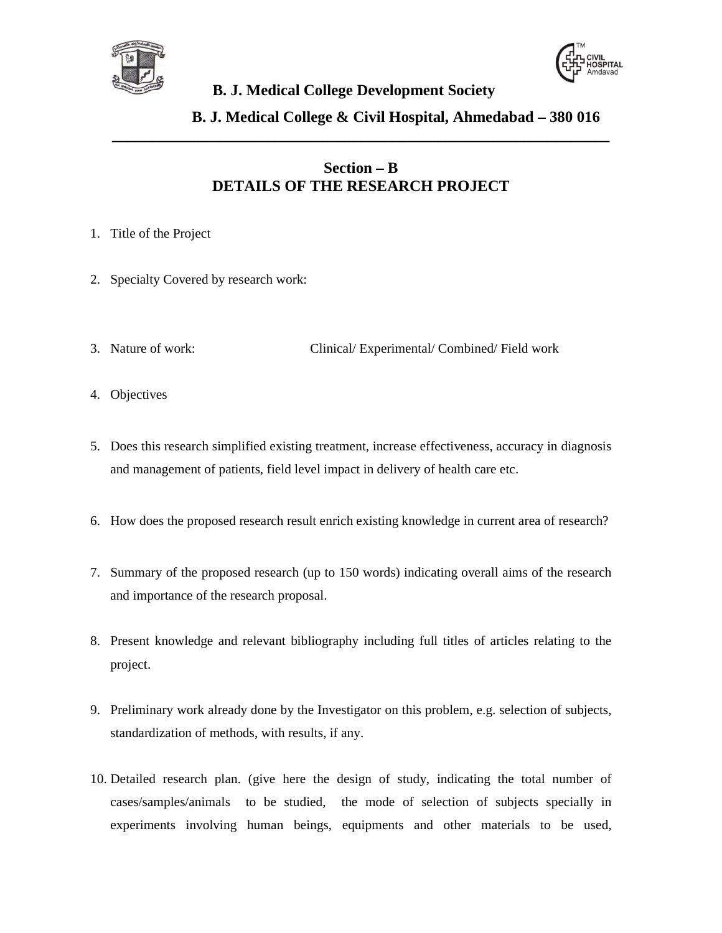



#### **B. J. Medical College & Civil Hospital, Ahmedabad – 380 016**

#### **Section – B DETAILS OF THE RESEARCH PROJECT**

**\_\_\_\_\_\_\_\_\_\_\_\_\_\_\_\_\_\_\_\_\_\_\_\_\_\_\_\_\_\_\_\_\_\_\_\_\_\_\_\_\_\_\_\_\_\_\_\_\_\_\_\_\_\_\_\_\_\_\_\_\_\_\_\_**

- 1. Title of the Project
- 2. Specialty Covered by research work:
- 3. Nature of work: Clinical/ Experimental/ Combined/ Field work
- 4. Objectives
- 5. Does this research simplified existing treatment, increase effectiveness, accuracy in diagnosis and management of patients, field level impact in delivery of health care etc.
- 6. How does the proposed research result enrich existing knowledge in current area of research?
- 7. Summary of the proposed research (up to 150 words) indicating overall aims of the research and importance of the research proposal.
- 8. Present knowledge and relevant bibliography including full titles of articles relating to the project.
- 9. Preliminary work already done by the Investigator on this problem, e.g. selection of subjects, standardization of methods, with results, if any.
- 10. Detailed research plan. (give here the design of study, indicating the total number of cases/samples/animals to be studied, the mode of selection of subjects specially in experiments involving human beings, equipments and other materials to be used,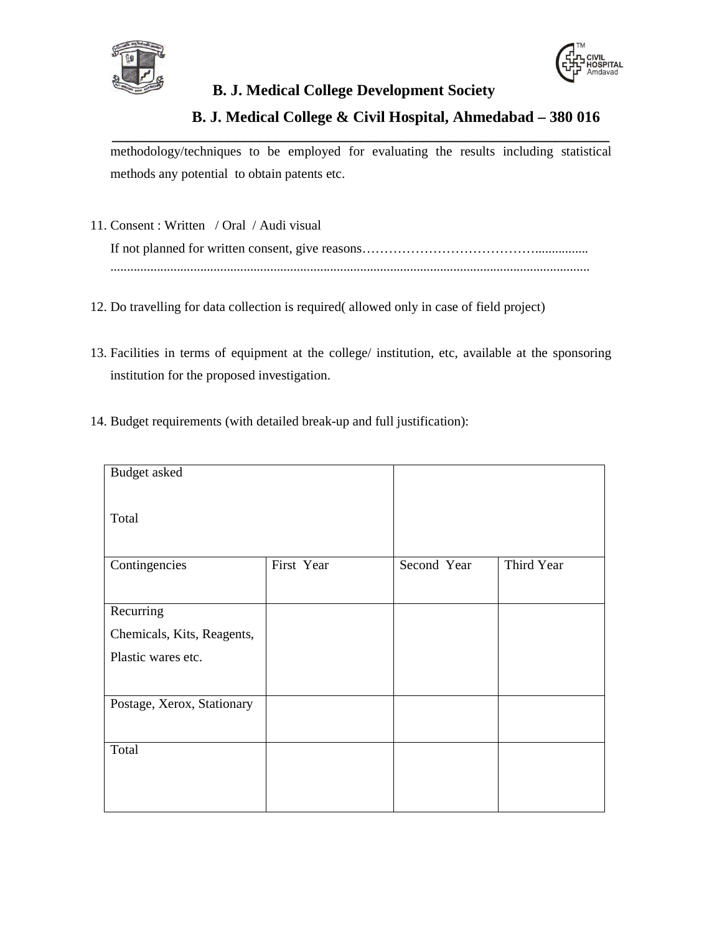



#### **B. J. Medical College & Civil Hospital, Ahmedabad – 380 016**

**\_\_\_\_\_\_\_\_\_\_\_\_\_\_\_\_\_\_\_\_\_\_\_\_\_\_\_\_\_\_\_\_\_\_\_\_\_\_\_\_\_\_\_\_\_\_\_\_\_\_\_\_\_\_\_\_\_\_\_\_\_\_\_\_** methodology/techniques to be employed for evaluating the results including statistical methods any potential to obtain patents etc.

- 11. Consent : Written / Oral / Audi visual If not planned for written consent, give reasons…………………………………................ ................................................................................................................................................
- 12. Do travelling for data collection is required( allowed only in case of field project)
- 13. Facilities in terms of equipment at the college/ institution, etc, available at the sponsoring institution for the proposed investigation.
- 14. Budget requirements (with detailed break-up and full justification):

| <b>Budget</b> asked        |            |             |            |
|----------------------------|------------|-------------|------------|
| Total                      |            |             |            |
| Contingencies              | First Year | Second Year | Third Year |
| Recurring                  |            |             |            |
| Chemicals, Kits, Reagents, |            |             |            |
| Plastic wares etc.         |            |             |            |
| Postage, Xerox, Stationary |            |             |            |
| Total                      |            |             |            |
|                            |            |             |            |